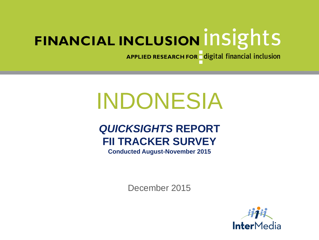APPLIED RESEARCH FOR digital financial inclusion

# INDONESIA

# *QUICKSIGHTS* **REPORT FII TRACKER SURVEY**

**Conducted August-November 2015**

December 2015

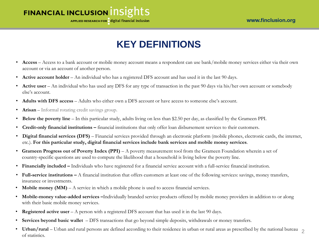APPLIED RESEARCH FOR digital financial inclusion

# **KEY DEFINITIONS**

- **Access** Access to a bank account or mobile money account means a respondent can use bank/mobile money services either via their own account or via an account of another person.
- **Active account holder** An individual who has a registered DFS account and has used it in the last 90 days.
- **Active user** An individual who has used any DFS for any type of transaction in the past 90 days via his/her own account or somebody else's account.
- **Adults with DFS access** Adults who either own a DFS account or have access to someone else's account.
- **Arisan** Informal rotating credit savings group.
- **Below the poverty line**  In this particular study, adults living on less than \$2.50 per day, as classified by the Grameen PPI.
- **Credit-only financial institutions –** financial institutions that only offer loan disbursement services to their customers.
- **Digital financial services (DFS)** Financial services provided through an electronic platform (mobile phones, electronic cards, the internet, etc.). **For this particular study, digital financial services include bank services and mobile money services**.
- **Grameen Progress out of Poverty Index (PPI)**  A poverty measurement tool from the Grameen Foundation wherein a set of country-specific questions are used to compute the likelihood that a household is living below the poverty line.
- **Financially included –** Individuals who have registered for a financial service account with a full-service financial institution.
- **Full-service institutions –** A financial institution that offers customers at least one of the following services: savings, money transfers, insurance or investments.
- **Mobile money (MM)** A service in which a mobile phone is used to access financial services.
- **Mobile-money value-added services –**Individually branded service products offered by mobile money providers in addition to or along with their basic mobile money services.
- **Registered active user** A person with a registered DFS account that has used it in the last 90 days.
- **Services beyond basic wallet**  DFS transactions that go beyond simple deposits, withdrawals or money transfers.
- Urban/rural Urban and rural persons are defined according to their residence in urban or rural areas as prescribed by the national bureau 2 of statistics.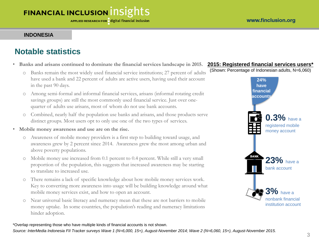#### **INDONESIA**

## **Notable statistics**

- **Banks and arisans continued to dominate the financial services landscape in 2015.**
	- o Banks remain the most widely used financial service institutions; 27 percent of adults have used a bank and 22 percent of adults are active users, having used their account in the past 90 days.
	- o Among semi-formal and informal financial services, arisans (informal rotating credit savings groups) are still the most commonly used financial service. Just over onequarter of adults use arisans, most of whom do not use bank accounts.
	- o Combined, nearly half the population use banks and arisans, and those products serve distinct groups. Most users opt to only use one of the two types of services.
- **Mobile money awareness and use are on the rise.**
	- o Awareness of mobile money providers is a first step to building toward usage, and awareness grew by 2 percent since 2014. Awareness grew the most among urban and above poverty populations.
	- o Mobile money use increased from 0.1 percent to 0.4 percent. While still a very small proportion of the population, this suggests that increased awareness may be starting to translate to increased use.
	- o There remains a lack of specific knowledge about how mobile money services work. Key to converting more awareness into usage will be building knowledge around what mobile money services exist, and how to open an account.
	- o Near universal basic literacy and numeracy mean that these are not barriers to mobile money uptake. In some countries, the population's reading and numeracy limitations hinder adoption.

#### **2015: Registered financial services users\***

(Shown: Percentage of Indonesian adults, N=6,060)



#### \*Overlap representing those who have multiple kinds of financial accounts is not shown.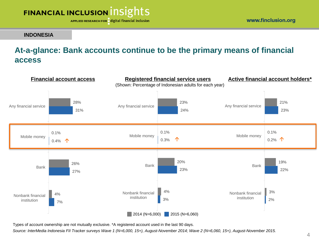

**INDONESIA**

#### www.finclusion.org

## **At-a-glance: Bank accounts continue to be the primary means of financial access**



Types of account ownership are not mutually exclusive. \*A registered account used in the last 90 days.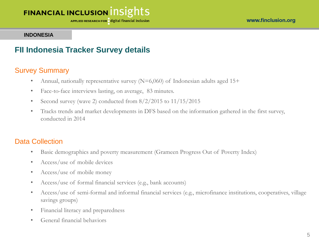APPLIED RESEARCH FOR digital financial inclusion

#### **INDONESIA**

#### **FII Indonesia Tracker Survey details**

#### Survey Summary

- Annual, nationally representative survey  $(N=6,060)$  of Indonesian adults aged 15+
- Face-to-face interviews lasting, on average, 83 minutes.
- Second survey (wave 2) conducted from  $8/2/2015$  to  $11/15/2015$
- Tracks trends and market developments in DFS based on the information gathered in the first survey, conducted in 2014

#### Data Collection

- Basic demographics and poverty measurement (Grameen Progress Out of Poverty Index)
- Access/use of mobile devices
- Access/use of mobile money
- Access/use of formal financial services (e.g., bank accounts)
- Access/use of semi-formal and informal financial services (e.g., microfinance institutions, cooperatives, village savings groups)
- Financial literacy and preparedness
- General financial behaviors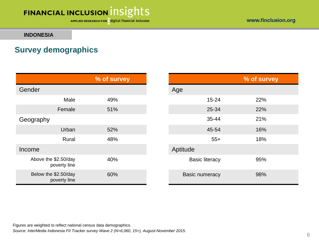APPLIED RESEARCH FOR digital financial inclusion

**INDONESIA**

## **Survey demographics**

|                                      | % of survey |                       | % of survey |
|--------------------------------------|-------------|-----------------------|-------------|
| Gender                               |             | Age                   |             |
| Male                                 | 49%         | $15 - 24$             | 22%         |
| Female                               | 51%         | 25-34                 | 22%         |
| Geography                            |             | 35-44                 | 21%         |
| Urban                                | 52%         | 45-54                 | 16%         |
| Rural                                | 48%         | $55+$                 | 18%         |
| Income                               |             | Aptitude              |             |
| Above the \$2.50/day<br>poverty line | 40%         | <b>Basic literacy</b> | 95%         |
| Below the \$2.50/day<br>poverty line | 60%         | <b>Basic numeracy</b> | 98%         |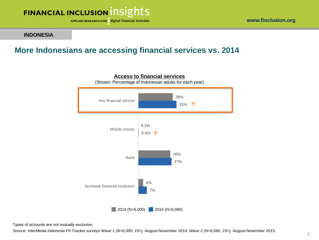

**INDONESIA**

## **More Indonesians are accessing financial services vs. 2014**



#### **Access to financial services** (Shown: Percentage of Indonesian adults for each year)

Types of accounts are not mutually exclusive.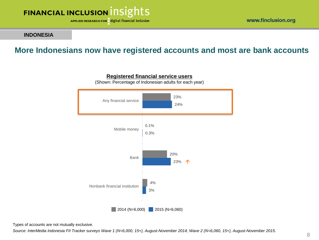

www.finclusion.org

#### **INDONESIA**

## **More Indonesians now have registered accounts and most are bank accounts**



**Registered financial service users** (Shown: Percentage of Indonesian adults for each year)

Types of accounts are not mutually exclusive.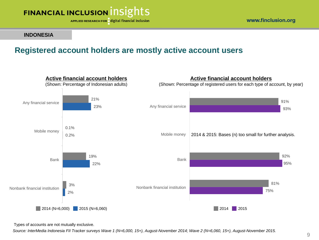

www.finclusion.org

#### **INDONESIA**

## **Registered account holders are mostly active account users**



Types of accounts are not mutually exclusive.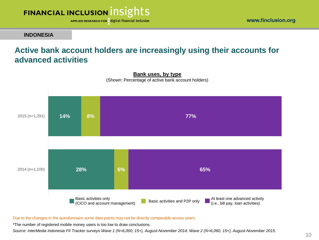

**INDONESIA**

## **Active bank account holders are increasingly using their accounts for advanced activities**



**Bank uses, by type** (Shown: Percentage of active bank account holders)

Due to the changes in the questionnaire some data points may not be directly comparable across years.

\*The number of registered mobile money users is too low to draw conclusions.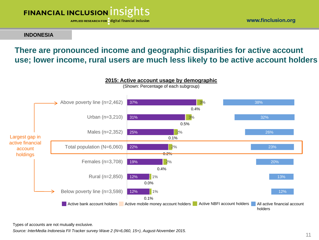

www.finclusion.org

#### **INDONESIA**

## **There are pronounced income and geographic disparities for active account use; lower income, rural users are much less likely to be active account holders**



Types of accounts are not mutually exclusive.

*Source: InterMedia Indonesia FII Tracker survey Wave 2 (N=6,060, 15+), August-November 2015.*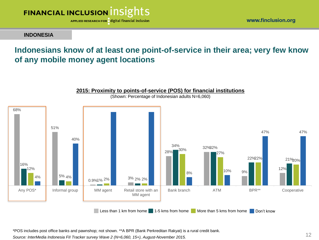

www.finclusion.org

#### **INDONESIA**

## **Indonesians know of at least one point-of-service in their area; very few know of any mobile money agent locations**



**2015: Proximity to points-of-service (POS) for financial institutions** (Shown: Percentage of Indonesian adults N=6,060)

\*POS includes post office banks and pawnshop; not shown. \*\*A BPR (Bank Perkreditan Rakyat) is a rural credit bank.

*Source: InterMedia Indonesia FII Tracker survey Wave 2 (N=6,060, 15+), August-November 2015.*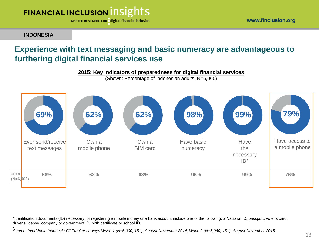

APPLIED RESEARCH FOR digital financial inclusion

**INDONESIA**

## **Experience with text messaging and basic numeracy are advantageous to furthering digital financial services use**



\*Identification documents (ID) necessary for registering a mobile money or a bank account include one of the following: a National ID, passport, voter's card, driver's license, company or government ID, birth certificate or school ID.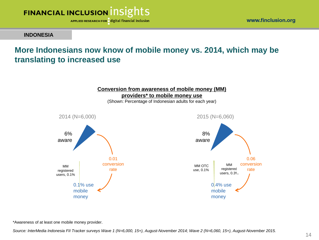![](_page_13_Picture_0.jpeg)

www.finclusion.org

#### **INDONESIA**

## **More Indonesians now know of mobile money vs. 2014, which may be translating to increased use**

![](_page_13_Figure_5.jpeg)

\*Awareness of at least one mobile money provider.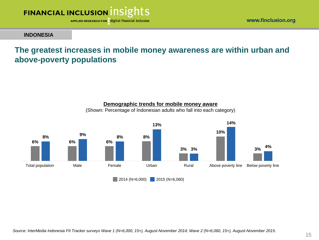![](_page_14_Picture_0.jpeg)

www.finclusion.org

#### **INDONESIA**

## **The greatest increases in mobile money awareness are within urban and above-poverty populations**

![](_page_14_Figure_5.jpeg)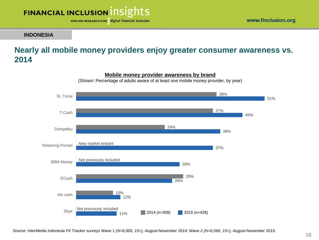![](_page_15_Picture_0.jpeg)

**INDONESIA**

## **Nearly all mobile money providers enjoy greater consumer awareness vs. 2014**

![](_page_15_Figure_4.jpeg)

**Mobile money provider awareness by brand**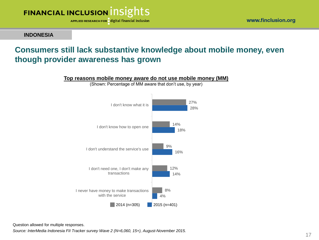![](_page_16_Picture_0.jpeg)

**INDONESIA**

#### www.finclusion.org

## **Consumers still lack substantive knowledge about mobile money, even though provider awareness has grown**

![](_page_16_Figure_5.jpeg)

(Shown: Percentage of MM aware that don't use, by year)

![](_page_16_Figure_7.jpeg)

Question allowed for multiple responses.

*Source: InterMedia Indonesia FII Tracker survey Wave 2 (N=6,060, 15+), August-November 2015.*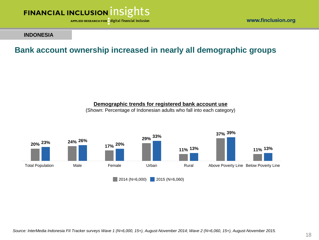![](_page_17_Picture_0.jpeg)

www.finclusion.org

#### **INDONESIA**

## **Bank account ownership increased in nearly all demographic groups**

#### **Demographic trends for registered bank account use**

(Shown: Percentage of Indonesian adults who fall into each category)

![](_page_17_Figure_7.jpeg)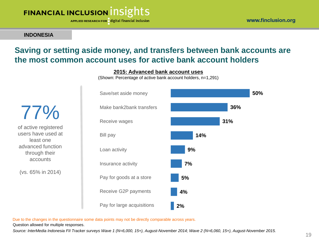![](_page_18_Picture_0.jpeg)

APPLIED RESEARCH FOR digital financial inclusion

#### **INDONESIA**

## **Saving or setting aside money, and transfers between bank accounts are the most common account uses for active bank account holders**

#### **2015: Advanced bank account uses**

(Shown: Percentage of active bank account holders, n=1,291)

of active registered users have used at least one advanced function through their accounts

77%

(vs. 65% in 2014)

![](_page_18_Figure_9.jpeg)

Due to the changes in the questionnaire some data points may not be directly comparable across years.

Question allowed for multiple responses.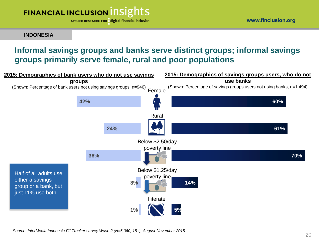APPLIED RESEARCH FOR digital financial inclusion

**INDONESIA**

## **Informal savings groups and banks serve distinct groups; informal savings groups primarily serve female, rural and poor populations**

![](_page_19_Figure_5.jpeg)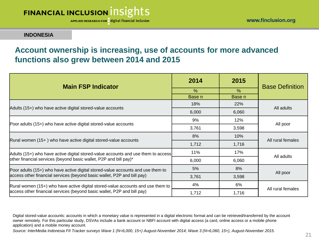APPLIED RESEARCH FOR digital financial inclusion

#### **INDONESIA**

## **Account ownership is increasing, use of accounts for more advanced functions also grew between 2014 and 2015**

| <b>Main FSP Indicator</b>                                                         | 2014          | 2015       | <b>Base Definition</b> |  |
|-----------------------------------------------------------------------------------|---------------|------------|------------------------|--|
|                                                                                   | $\frac{0}{0}$ | $\%$       |                        |  |
|                                                                                   | Base n        | Base n     |                        |  |
| Adults (15+) who have active digital stored-value accounts                        | 18%           | <b>22%</b> | All adults             |  |
|                                                                                   | 6,000         | 6,060      |                        |  |
|                                                                                   | 9%            | 12%        | All poor               |  |
| Poor adults (15+) who have active digital stored-value accounts                   | 3,761         | 3,598      |                        |  |
|                                                                                   | 8%            | 10%        | All rural females      |  |
| Rural women (15+) who have active digital stored-value accounts                   | 1,712         | 1,716      |                        |  |
| Adults (15+) who have active digital stored-value accounts and use them to access | 11%           | 17%        | All adults             |  |
| other financial services (beyond basic wallet, P2P and bill pay)*                 | 6,000         | 6,060      |                        |  |
| Poor adults (15+) who have active digital stored-value accounts and use them to   | 5%            | 8%         |                        |  |
| access other financial services (beyond basic wallet, P2P and bill pay)           | 3,761         | 3,598      | All poor               |  |
| Rural women (15+) who have active digital stored-value accounts and use them to   | 4%            | 6%         |                        |  |
| access other financial services (beyond basic wallet, P2P and bill pay)           | 1,712         | 1,716      | All rural females      |  |

Digital stored-value accounts: accounts in which a monetary value is represented in a digital electronic format and can be retrieved/transferred by the account owner remotely. For this particular study, DSVAs include a bank account or NBFI account with digital access (a card, online access or a mobile phone application) and a mobile money account.